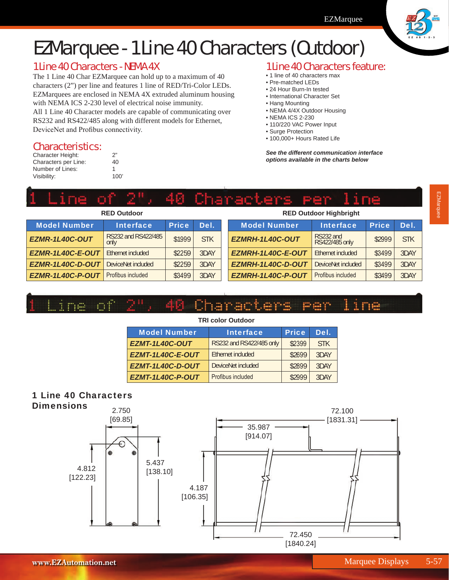

# EZMarquee - 1 Line 40 Characters (Outdoor)

## 1 Line 40 Characters - NEMA 4X

The 1 Line 40 Char EZMarquee can hold up to a maximum of 40 characters (2") per line and features 1 line of RED/Tri-Color LEDs. EZMarquees are enclosed in NEMA 4X extruded aluminum housing with NEMA ICS 2-230 level of electrical noise immunity.

All 1 Line 40 Character models are capable of communicating over RS232 and RS422/485 along with different models for Ethernet, DeviceNet and Profibus connectivity.

## Characteristics:

| Character Height:    | ን"   |  |  |
|----------------------|------|--|--|
| Characters per Line: | 40   |  |  |
| Number of Lines:     |      |  |  |
| Visibility:          | 100' |  |  |

## 1 Line 40 Characters feature:

- 1 line of 40 characters max
- Pre-matched LEDs
- 24 Hour Burn-In tested
- International Character Set
- Hang Mounting
- NEMA 4/4X Outdoor Housing
- NEMA ICS 2-230 • 110/220 VAC Power Input
- Surge Protection
- 100,000+ Hours Rated Life

*See the different communication interface options available in the charts below*

| <b>RED Outdoor</b> |                             |              | <b>RED Outdoor Highbright</b> |                     |                             |              |            |
|--------------------|-----------------------------|--------------|-------------------------------|---------------------|-----------------------------|--------------|------------|
| Model Number       | <b>Interface</b>            | <b>Price</b> | Del.                          | <b>Model Number</b> | <b>Interface</b>            | <b>Price</b> | Del.       |
| EZMR-1L40C-OUT     | RS232 and RS422/485<br>only | \$1999       | <b>STK</b>                    | EZMRH-1L40C-OUT     | RS232 and<br>RS422/485 only | \$2999       | <b>STK</b> |
| EZMR-1L40C-E-OUT   | Ethernet included           | \$2259       | 3DAY                          | EZMRH-1L40C-E-OUT   | Ethernet included           | \$3499       | 3DAY       |
| EZMR-1L40C-D-OUT   | DeviceNet included          | \$2259       | 3DAY                          | EZMRH-1L40C-D-OUT   | DeviceNet included          | \$3499       | 3DAY       |
| EZMR-1L40C-P-OUT   | Profibus included           | \$3499       | 3DAY                          | EZMRH-1L40C-P-OUT   | Profibus included           | \$3499       | 3DAY       |

### line Per. iaracters i ΉÐ Ō

### **TRI color Outdoor**

| <b>Model Number</b> | <b>Interface</b>         | <b>Price</b> | Del.       |
|---------------------|--------------------------|--------------|------------|
| EZMT-1L40C-OUT      | RS232 and RS422/485 only | \$2399       | <b>STK</b> |
| EZMT-1L40C-E-OUT    | Ethernet included        | \$2699       | $3$ DAY    |
| EZMT-1L40C-D-OUT    | DeviceNet included       | \$2899       | $3$ DAY    |
| EZMT-1L40C-P-OUT    | Profibus included        | \$2999       | 3DAY       |

## 1 Line 40 Characters



EZMarquee

EZMarque